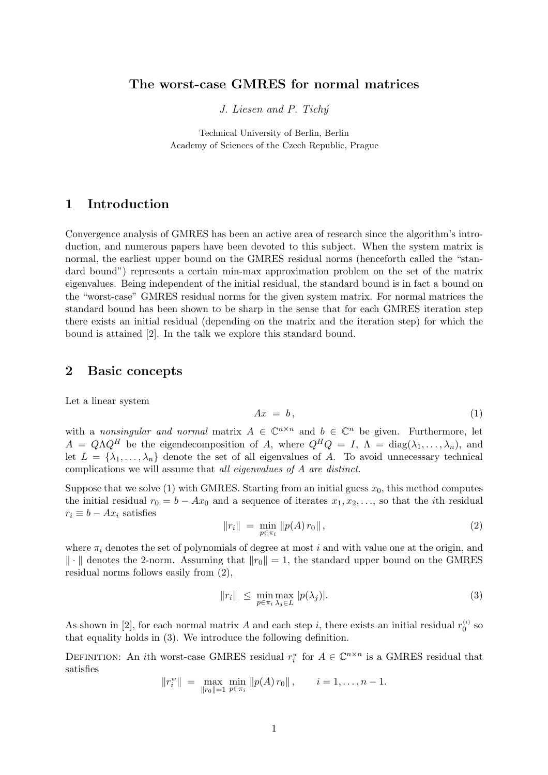#### The worst-case GMRES for normal matrices

J. Liesen and P. Tichý

Technical University of Berlin, Berlin Academy of Sciences of the Czech Republic, Prague

## 1 Introduction

Convergence analysis of GMRES has been an active area of research since the algorithm's introduction, and numerous papers have been devoted to this subject. When the system matrix is normal, the earliest upper bound on the GMRES residual norms (henceforth called the "standard bound") represents a certain min-max approximation problem on the set of the matrix eigenvalues. Being independent of the initial residual, the standard bound is in fact a bound on the "worst-case" GMRES residual norms for the given system matrix. For normal matrices the standard bound has been shown to be sharp in the sense that for each GMRES iteration step there exists an initial residual (depending on the matrix and the iteration step) for which the bound is attained [2]. In the talk we explore this standard bound.

### 2 Basic concepts

Let a linear system

$$
Ax = b,\tag{1}
$$

with a nonsingular and normal matrix  $A \in \mathbb{C}^{n \times n}$  and  $b \in \mathbb{C}^n$  be given. Furthermore, let  $A = Q\Lambda Q^H$  be the eigendecomposition of A, where  $Q^H Q = I$ ,  $\Lambda = \text{diag}(\lambda_1, \ldots, \lambda_n)$ , and let  $L = {\lambda_1, ..., \lambda_n}$  denote the set of all eigenvalues of A. To avoid unnecessary technical complications we will assume that all eigenvalues of A are distinct.

Suppose that we solve (1) with GMRES. Starting from an initial guess  $x_0$ , this method computes the initial residual  $r_0 = b - Ax_0$  and a sequence of iterates  $x_1, x_2, \ldots$ , so that the *i*th residual  $r_i \equiv b - Ax_i$  satisfies

$$
||r_i|| = \min_{p \in \pi_i} ||p(A) r_0||,
$$
\n(2)

where  $\pi_i$  denotes the set of polynomials of degree at most i and with value one at the origin, and  $\|\cdot\|$  denotes the 2-norm. Assuming that  $\|r_0\| = 1$ , the standard upper bound on the GMRES residual norms follows easily from (2),

$$
||r_i|| \leq \min_{p \in \pi_i} \max_{\lambda_j \in L} |p(\lambda_j)|. \tag{3}
$$

As shown in [2], for each normal matrix A and each step i, there exists an initial residual  $r_0^{(i)}$  so that equality holds in (3). We introduce the following definition.

DEFINITION: An *i*th worst-case GMRES residual  $r_i^w$  for  $A \in \mathbb{C}^{n \times n}$  is a GMRES residual that satisfies

$$
||r_i^w|| = \max_{||r_0||=1} \min_{p \in \pi_i} ||p(A) r_0||
$$
,  $i = 1,..., n-1$ .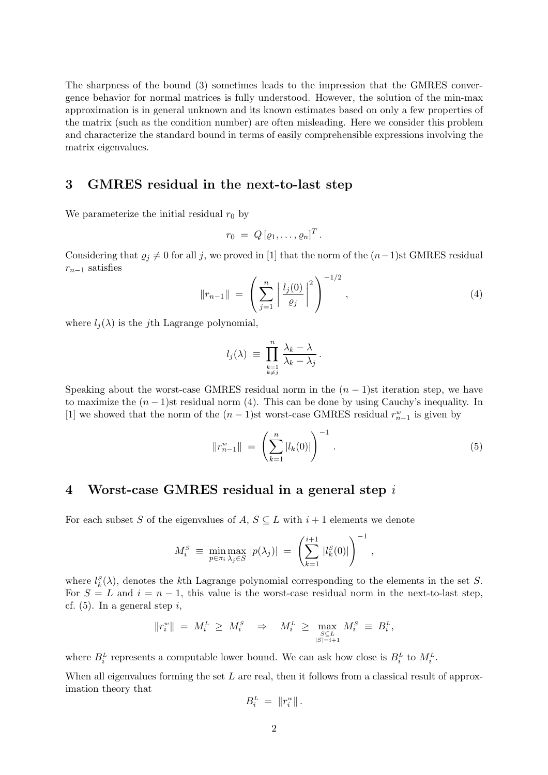The sharpness of the bound (3) sometimes leads to the impression that the GMRES convergence behavior for normal matrices is fully understood. However, the solution of the min-max approximation is in general unknown and its known estimates based on only a few properties of the matrix (such as the condition number) are often misleading. Here we consider this problem and characterize the standard bound in terms of easily comprehensible expressions involving the matrix eigenvalues.

#### 3 GMRES residual in the next-to-last step

We parameterize the initial residual  $r_0$  by

$$
r_0 = Q \left[ \varrho_1, \ldots, \varrho_n \right]^T.
$$

Considering that  $\varrho_j \neq 0$  for all j, we proved in [1] that the norm of the  $(n-1)$ st GMRES residual  $r_{n-1}$  satisfies

$$
||r_{n-1}|| = \left(\sum_{j=1}^{n} \left| \frac{l_j(0)}{\varrho_j} \right|^2 \right)^{-1/2}, \qquad (4)
$$

where  $l_i(\lambda)$  is the j<sup>th</sup> Lagrange polynomial,

$$
l_j(\lambda) \equiv \prod_{\substack{k=1\\k\neq j}}^n \frac{\lambda_k - \lambda}{\lambda_k - \lambda_j}.
$$

Speaking about the worst-case GMRES residual norm in the  $(n - 1)$ st iteration step, we have to maximize the  $(n-1)$ st residual norm (4). This can be done by using Cauchy's inequality. In [1] we showed that the norm of the  $(n-1)$ st worst-case GMRES residual  $r_{n-1}^w$  is given by

$$
||r_{n-1}^w|| = \left(\sum_{k=1}^n |l_k(0)|\right)^{-1}.
$$
 (5)

## 4 Worst-case GMRES residual in a general step i

For each subset S of the eigenvalues of A,  $S \subseteq L$  with  $i + 1$  elements we denote

$$
M_i^S \equiv \min_{p \in \pi_i} \max_{\lambda_j \in S} |p(\lambda_j)| \ = \ \left( \sum_{k=1}^{i+1} |l_k^S(0)| \right)^{-1},
$$

where  $l_k^S(\lambda)$ , denotes the k<sup>th</sup> Lagrange polynomial corresponding to the elements in the set S. For  $S = L$  and  $i = n - 1$ , this value is the worst-case residual norm in the next-to-last step, cf.  $(5)$ . In a general step i,

$$
||r_i^w|| = M_i^L \ge M_i^S \Rightarrow M_i^L \ge \max_{\substack{S \subseteq L \\ |S| = i+1}} M_i^S \equiv B_i^L,
$$

where  $B_i^L$  represents a computable lower bound. We can ask how close is  $B_i^L$  to  $M_i^L$ .

When all eigenvalues forming the set  $L$  are real, then it follows from a classical result of approximation theory that

$$
B_i^L = \|r_i^w\|.
$$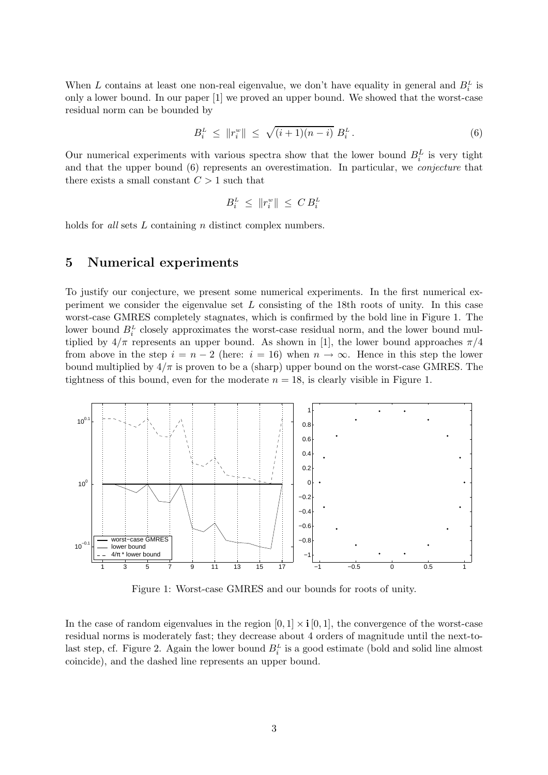When L contains at least one non-real eigenvalue, we don't have equality in general and  $B_i^L$  is only a lower bound. In our paper [1] we proved an upper bound. We showed that the worst-case residual norm can be bounded by

$$
B_i^L \leq \|r_i^w\| \leq \sqrt{(i+1)(n-i)} \ B_i^L. \tag{6}
$$

Our numerical experiments with various spectra show that the lower bound  $B_i^L$  is very tight and that the upper bound (6) represents an overestimation. In particular, we conjecture that there exists a small constant  $C > 1$  such that

$$
B_i^{\rm\scriptscriptstyle L} \,\leq\, \|r_i^{\rm\scriptscriptstyle w}\| \,\leq\, C\, B_i^{\rm\scriptscriptstyle L}
$$

holds for *all* sets L containing n distinct complex numbers.

#### 5 Numerical experiments

To justify our conjecture, we present some numerical experiments. In the first numerical experiment we consider the eigenvalue set  $L$  consisting of the 18th roots of unity. In this case worst-case GMRES completely stagnates, which is confirmed by the bold line in Figure 1. The lower bound  $B_i^L$  closely approximates the worst-case residual norm, and the lower bound multiplied by  $4/\pi$  represents an upper bound. As shown in [1], the lower bound approaches  $\pi/4$ from above in the step  $i = n - 2$  (here:  $i = 16$ ) when  $n \to \infty$ . Hence in this step the lower bound multiplied by  $4/\pi$  is proven to be a (sharp) upper bound on the worst-case GMRES. The tightness of this bound, even for the moderate  $n = 18$ , is clearly visible in Figure 1.



Figure 1: Worst-case GMRES and our bounds for roots of unity.

In the case of random eigenvalues in the region  $[0, 1] \times i [0, 1]$ , the convergence of the worst-case residual norms is moderately fast; they decrease about 4 orders of magnitude until the next-tolast step, cf. Figure 2. Again the lower bound  $B_i^L$  is a good estimate (bold and solid line almost coincide), and the dashed line represents an upper bound.